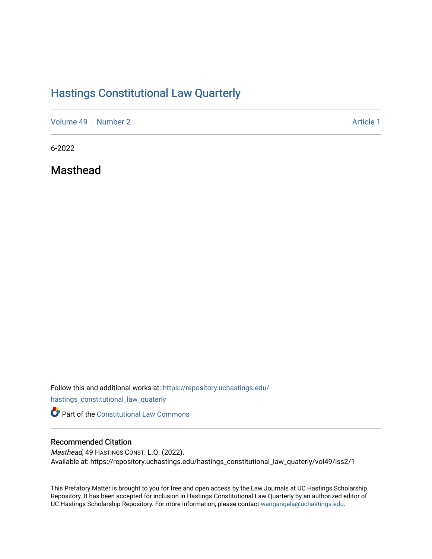# [Hastings Constitutional Law Quarterly](https://repository.uchastings.edu/hastings_constitutional_law_quaterly)

[Volume 49](https://repository.uchastings.edu/hastings_constitutional_law_quaterly/vol49) [Number 2](https://repository.uchastings.edu/hastings_constitutional_law_quaterly/vol49/iss2) Article 1

6-2022

Masthead

Follow this and additional works at: [https://repository.uchastings.edu/](https://repository.uchastings.edu/hastings_constitutional_law_quaterly?utm_source=repository.uchastings.edu%2Fhastings_constitutional_law_quaterly%2Fvol49%2Fiss2%2F1&utm_medium=PDF&utm_campaign=PDFCoverPages)

[hastings\\_constitutional\\_law\\_quaterly](https://repository.uchastings.edu/hastings_constitutional_law_quaterly?utm_source=repository.uchastings.edu%2Fhastings_constitutional_law_quaterly%2Fvol49%2Fiss2%2F1&utm_medium=PDF&utm_campaign=PDFCoverPages) 

**Part of the Constitutional Law Commons** 

## Recommended Citation

Masthead, 49 HASTINGS CONST. L.Q. (2022). Available at: https://repository.uchastings.edu/hastings\_constitutional\_law\_quaterly/vol49/iss2/1

This Prefatory Matter is brought to you for free and open access by the Law Journals at UC Hastings Scholarship Repository. It has been accepted for inclusion in Hastings Constitutional Law Quarterly by an authorized editor of UC Hastings Scholarship Repository. For more information, please contact [wangangela@uchastings.edu](mailto:wangangela@uchastings.edu).